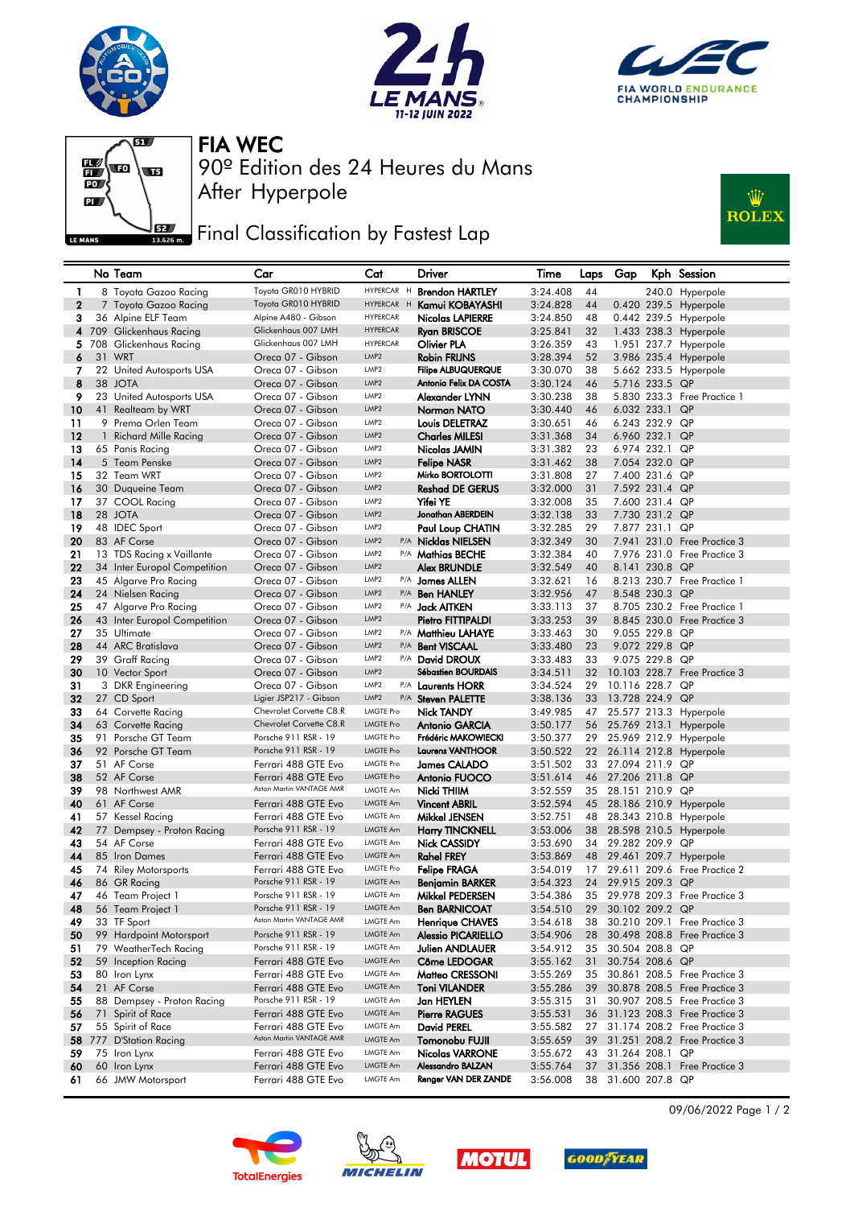







After Hyperpole 90º Edition des 24 Heures du Mans FIA WEC

## Final Classification by Fastest Lap



|              | No Team                                          | Car                                                | Cat                                  | <b>Driver</b>                          | Time                 | Laps     | Gap             |                                  | Kph Session                                         |
|--------------|--------------------------------------------------|----------------------------------------------------|--------------------------------------|----------------------------------------|----------------------|----------|-----------------|----------------------------------|-----------------------------------------------------|
| 1            | 8 Toyota Gazoo Racing                            | Toyota GR010 HYBRID                                | HYPERCAR H                           | <b>Brendon HARTLEY</b>                 | 3:24.408             | 44       |                 |                                  | 240.0 Hyperpole                                     |
| $\mathbf{2}$ | 7 Toyota Gazoo Racing                            | Toyota GR010 HYBRID                                | HYPERCAR H                           | Kamui KOBAYASHI                        | 3:24.828             | 44       |                 |                                  | 0.420 239.5 Hyperpole                               |
| 3            | 36 Alpine ELF Team                               | Alpine A480 - Gibson                               | <b>HYPERCAR</b>                      | Nicolas LAPIERRE                       | 3:24.850             | 48       |                 |                                  | 0.442 239.5 Hyperpole                               |
| 4            | 709 Glickenhaus Racing                           | Glickenhaus 007 LMH                                | <b>HYPERCAR</b>                      | <b>Ryan BRISCOE</b>                    | 3:25.841             | 32       |                 |                                  | 1.433 238.3 Hyperpole                               |
| 5.           | 708 Glickenhaus Racing                           | Glickenhaus 007 LMH                                | <b>HYPERCAR</b>                      | Olivier PLA                            | 3:26.359             | 43       |                 |                                  | 1.951 237.7 Hyperpole                               |
| 6            | 31 WRT                                           | Oreca 07 - Gibson                                  | LMP <sub>2</sub>                     | <b>Robin FRIJNS</b>                    | 3:28.394             | 52       |                 |                                  | 3.986 235.4 Hyperpole                               |
| 7            | 22 United Autosports USA                         | Oreca 07 - Gibson                                  | LMP <sub>2</sub>                     | <b>Filipe ALBUQUERQUE</b>              | 3:30.070             | 38       |                 |                                  | 5.662 233.5 Hyperpole                               |
| 8            | 38 JOTA                                          | Oreca 07 - Gibson                                  | LMP <sub>2</sub>                     | Antonio Felix DA COSTA                 | 3:30.124             | 46       |                 | 5.716 233.5 QP                   |                                                     |
| 9            | 23 United Autosports USA                         | Oreca 07 - Gibson                                  | LMP2                                 | Alexander LYNN                         | 3:30.238             | 38       |                 |                                  | 5,830 233,3 Free Practice 1                         |
| 10           | 41 Realteam by WRT                               | Oreca 07 - Gibson                                  | LMP <sub>2</sub>                     | <b>Norman NATO</b>                     | 3:30.440             | 46       |                 | 6.032 233.1                      | QP                                                  |
| 11           | 9 Prema Orlen Team                               | Oreca 07 - Gibson                                  | LMP2                                 | <b>Louis DELETRAZ</b>                  | 3:30.651             | 46       |                 | 6.243 232.9 QP                   |                                                     |
| 12           | 1 Richard Mille Racing                           | Oreca 07 - Gibson                                  | LMP <sub>2</sub>                     | <b>Charles MILESI</b>                  | 3:31.368             | 34       |                 | 6.960 232.1                      | QP                                                  |
| 13           | 65 Panis Racing                                  | Oreca 07 - Gibson<br>Oreca 07 - Gibson             | LMP <sub>2</sub>                     | Nicolas JAMIN                          | 3:31.382             | 23       |                 | 6.974 232.1 QP                   |                                                     |
| 14           | 5 Team Penske                                    |                                                    | LMP <sub>2</sub><br>LMP <sub>2</sub> | <b>Felipe NASR</b><br>Mirko BORTOLOTTI | 3:31.462             | 38       |                 | 7.054 232.0 QP                   |                                                     |
| 15<br>16     | 32 Team WRT<br>30 Duqueine Team                  | Oreca 07 - Gibson<br>Oreca 07 - Gibson             | LMP <sub>2</sub>                     | <b>Reshad DE GERUS</b>                 | 3:31.808<br>3:32.000 | 27<br>31 |                 | 7.400 231.6 QP<br>7.592 231.4 QP |                                                     |
| 17           | 37 COOL Racing                                   | Oreca 07 - Gibson                                  | LMP2                                 | Yifei YE                               | 3:32.008             | 35       |                 | 7.600 231.4 QP                   |                                                     |
| 18           | 28 JOTA                                          | Oreca 07 - Gibson                                  | LMP <sub>2</sub>                     | Jonathan ABERDEIN                      | 3:32.138             | 33       |                 | 7.730 231.2 QP                   |                                                     |
| 19           | 48 IDEC Sport                                    | Oreca 07 - Gibson                                  | LMP2                                 | Paul Loup CHATIN                       | 3:32.285             | 29       |                 | 7.877 231.1 QP                   |                                                     |
| 20           | 83 AF Corse                                      | Oreca 07 - Gibson                                  | LMP2                                 | P/A Nicklas NIELSEN                    | 3:32.349             | 30       |                 |                                  | 7.941 231.0 Free Practice 3                         |
| 21           | 13 TDS Racing x Vaillante                        | Oreca 07 - Gibson                                  | LMP2                                 | P/A Mathias BECHE                      | 3:32.384             | 40       |                 |                                  | 7.976 231.0 Free Practice 3                         |
| 22           | 34 Inter Europol Competition                     | Oreca 07 - Gibson                                  | LMP2                                 | <b>Alex BRUNDLE</b>                    | 3:32.549             | 40       |                 | 8.141 230.8 QP                   |                                                     |
| 23           | 45 Algarve Pro Racing                            | Oreca 07 - Gibson                                  | LMP2                                 | P/A James ALLEN                        | 3:32.621             | 16       |                 |                                  | 8.213 230.7 Free Practice 1                         |
| 24           | 24 Nielsen Racing                                | Oreca 07 - Gibson                                  | LMP2                                 | P/A Ben HANLEY                         | 3:32.956             | 47       |                 | 8.548 230.3 QP                   |                                                     |
| 25           | 47 Algarve Pro Racing                            | Oreca 07 - Gibson                                  | LMP2                                 | P/A <b>Jack AITKEN</b>                 | 3:33.113             | 37       |                 |                                  | 8.705 230.2 Free Practice 1                         |
| 26           | 43 Inter Europol Competition                     | Oreca 07 - Gibson                                  | LMP <sub>2</sub>                     | Pietro FITTIPALDI                      | 3:33.253             | 39       |                 |                                  | 8.845 230.0 Free Practice 3                         |
| 27           | 35 Ultimate                                      | Oreca 07 - Gibson                                  | LMP2                                 | P/A <b>Matthieu LAHAYE</b>             | 3:33.463             | 30       |                 | 9.055 229.8 QP                   |                                                     |
| 28           | 44 ARC Bratislava                                | Oreca 07 - Gibson                                  | LMP2                                 | P/A Bent VISCAAL                       | 3:33.480             | 23       |                 | 9.072 229.8 QP                   |                                                     |
| 29           | 39 Graff Racing                                  | Oreca 07 - Gibson                                  | LMP2                                 | P/A David DROUX                        | 3:33.483             | 33       |                 | 9.075 229.8 QP                   |                                                     |
| 30           | 10 Vector Sport                                  | Oreca 07 - Gibson                                  | LMP <sub>2</sub>                     | <b>Sébastien BOURDAIS</b>              | 3:34.511             | 32       |                 |                                  | 10.103 228.7 Free Practice 3                        |
| 31           | 3 DKR Engineering                                | Oreca 07 - Gibson                                  | LMP2                                 | P/A Laurents HORR                      | 3:34.524             | 29       | 10.116 228.7 QP |                                  |                                                     |
| 32           | 27 CD Sport                                      | Ligier JSP217 - Gibson                             | LMP2                                 | P/A Steven PALETTE                     | 3:38.136             | 33       | 13.728 224.9 QP |                                  |                                                     |
| 33           | 64 Corvette Racing                               | Chevrolet Corvette C8.R<br>Chevrolet Corvette C8.R | <b>LMGTE Pro</b><br><b>LMGTE Pro</b> | <b>Nick TANDY</b>                      | 3:49.985             | 47       |                 |                                  | 25.577 213.3 Hyperpole                              |
| 34<br>35     | 63 Corvette Racing<br>91 Porsche GT Team         | Porsche 911 RSR - 19                               | <b>LMGTE Pro</b>                     | Antonio GARCIA<br>Frédéric MAKOWIECKI  | 3:50.177<br>3:50.377 | 29       |                 |                                  | 56 25.769 213.1 Hyperpole<br>25.969 212.9 Hyperpole |
| 36           | 92 Porsche GT Team                               | Porsche 911 RSR - 19                               | <b>LMGTE Pro</b>                     | <b>Laurens VANTHOOR</b>                | 3:50.522             | 22       |                 |                                  | 26.114 212.8 Hyperpole                              |
| 37           | 51 AF Corse                                      | Ferrari 488 GTE Evo                                | <b>LMGTE Pro</b>                     | <b>James CALADO</b>                    | 3:51.502             | 33       | 27.094 211.9 QP |                                  |                                                     |
| 38           | 52 AF Corse                                      | Ferrari 488 GTE Evo                                | <b>LMGTE Pro</b>                     | <b>Antonio FUOCO</b>                   | 3:51.614             | 46       | 27.206 211.8 QP |                                  |                                                     |
| 39           | 98 Northwest AMR                                 | Aston Martin VANTAGE AMR                           | LMGTE Am                             | Nicki THIIM                            | 3:52.559             | 35       | 28.151 210.9 QP |                                  |                                                     |
| 40           | 61 AF Corse                                      | Ferrari 488 GTE Evo                                | LMGTE Am                             | <b>Vincent ABRIL</b>                   | 3:52.594             |          |                 |                                  | 45 28.186 210.9 Hyperpole                           |
| 41           | 57 Kessel Racing                                 | Ferrari 488 GTE Evo                                | LMGTE Am                             | Mikkel JENSEN                          | 3:52.751             | 48       |                 |                                  | 28.343 210.8 Hyperpole                              |
| 42           | 77 Dempsey - Proton Racing                       | Porsche 911 RSR - 19                               | LMGTE Am                             | <b>Harry TINCKNELL</b>                 | 3:53.006             | 38       |                 |                                  | 28.598 210.5 Hyperpole                              |
| 43           | 54 AF Corse                                      | Ferrari 488 GTE Evo                                | LMGTE Am                             | Nick CASSIDY                           | 3:53.690             | 34       | 29.282 209.9 QP |                                  |                                                     |
| 44           | 85 Iron Dames                                    | Ferrari 488 GTE Evo                                | LMGTE Am                             | <b>Rahel FREY</b>                      | 3:53.869             | 48       |                 |                                  | 29.461 209.7 Hyperpole                              |
| 45           | 74 Riley Motorsports                             | Ferrari 488 GTE Evo                                | LMGTE Pro                            | <b>Felipe FRAGA</b>                    | 3:54.019             | 17       |                 |                                  | 29.611 209.6 Free Practice 2                        |
| 46           | 86 GR Racing                                     | Porsche 911 RSR - 19                               | <b>LMGTE Am</b>                      | <b>Benjamin BARKER</b>                 | 3:54.323             | 24       | 29.915 209.3 QP |                                  |                                                     |
| 47           | 46 Team Project 1                                | Porsche 911 RSR - 19                               | LMGTE Am                             | Mikkel PEDERSEN                        | 3:54.386             |          |                 |                                  | 35 29.978 209.3 Free Practice 3                     |
| 48           | 56 Team Project 1                                | Porsche 911 RSR - 19<br>Aston Martin VANTAGE AMR   | LMGTE Am                             | <b>Ben BARNICOAT</b>                   | 3:54.510             | 29       | 30.102 209.2 QP |                                  |                                                     |
| 49           | 33 TF Sport                                      |                                                    | LMGTE Am<br><b>LMGTE Am</b>          | <b>Henrique CHAVES</b>                 | 3:54.618             | 38       |                 |                                  | 30.210 209.1 Free Practice 3                        |
| 50           | 99 Hardpoint Motorsport<br>79 WeatherTech Racing | Porsche 911 RSR - 19<br>Porsche 911 RSR - 19       | LMGTE Am                             | <b>Alessio PICARIELLO</b>              | 3:54.906             | 28       | 30.504 208.8 QP |                                  | 30.498 208.8 Free Practice 3                        |
| 51<br>52     | 59 Inception Racing                              | Ferrari 488 GTE Evo                                | LMGTE Am                             | Julien ANDLAUER<br>Côme LEDOGAR        | 3:54.912<br>3:55.162 | 35<br>31 | 30.754 208.6 QP |                                  |                                                     |
| 53           | 80 Iron Lynx                                     | Ferrari 488 GTE Evo                                | LMGTE Am                             | Matteo CRESSONI                        | 3:55.269             | 35       |                 |                                  | 30.861 208.5 Free Practice 3                        |
| 54           | 21 AF Corse                                      | Ferrari 488 GTE Evo                                | <b>LMGTE Am</b>                      | <b>Toni VILANDER</b>                   | 3:55.286             | 39       |                 |                                  | 30.878 208.5 Free Practice 3                        |
| 55           | 88 Dempsey - Proton Racing                       | Porsche 911 RSR - 19                               | LMGTE Am                             | Jan HEYLEN                             | 3:55.315             | 31       |                 |                                  | 30.907 208.5 Free Practice 3                        |
| 56           | 71 Spirit of Race                                | Ferrari 488 GTE Evo                                | <b>LMGTE Am</b>                      | <b>Pierre RAGUES</b>                   | 3:55.531             | 36       |                 |                                  | 31.123 208.3 Free Practice 3                        |
| 57           | 55 Spirit of Race                                | Ferrari 488 GTE Evo                                | LMGTE Am                             | David PEREL                            | 3:55.582             | 27       |                 |                                  | 31.174 208.2 Free Practice 3                        |
| 58           | 777 D'Station Racing                             | Aston Martin VANTAGE AMR                           | LMGTE Am                             | Tomonobu FUJII                         | 3:55.659             | 39       |                 |                                  | 31.251 208.2 Free Practice 3                        |
| 59           | 75 Iron Lynx                                     | Ferrari 488 GTE Evo                                | LMGTE Am                             | <b>Nicolas VARRONE</b>                 | 3:55.672             | 43       | 31.264 208.1 QP |                                  |                                                     |
| 60           | 60 Iron Lynx                                     | Ferrari 488 GTE Evo                                | <b>LMGTE Am</b>                      | <b>Alessandro BALZAN</b>               | 3:55.764             | 37       | 31.356 208.1    |                                  | Free Practice 3                                     |
| 61           | 66 JMW Motorsport                                | Ferrari 488 GTE Evo                                | LMGTE Am                             | Renger VAN DER ZANDE                   | 3:56.008             | 38       | 31.600 207.8 QP |                                  |                                                     |









09/06/2022 Page 1 / 2